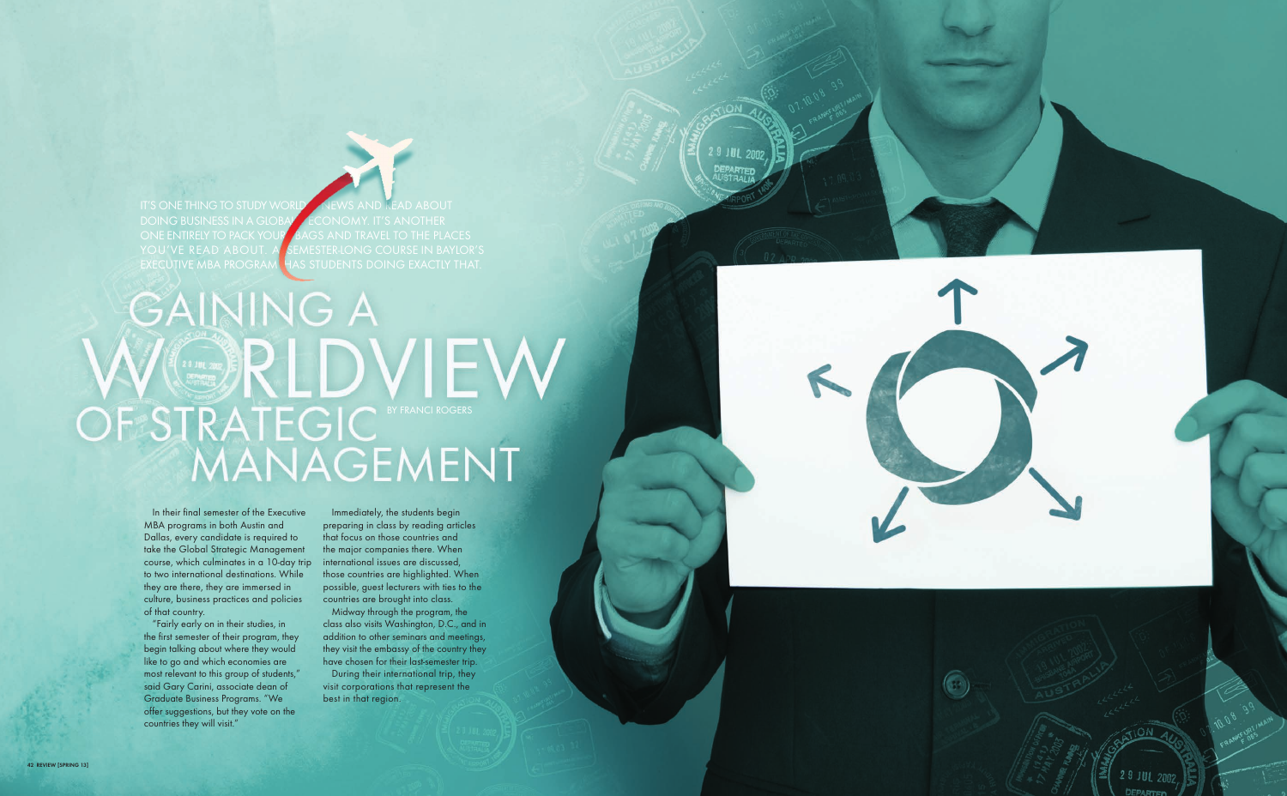IT'S ONE THING TO STUDY WORLD NEWS AND READ ABOUT DOING BUSINESS IN A GLOBAL ECONOMY. IT'S ANOTHER<br>ONE ENTIRELY TO PACK YOUR BAGS AND TRAVEL TO THE PLA ONE ENTIRELY TO PACK YOUR BAGS AND TRAVEL TO THE PLACES<br>YOU'VE READ ABOUT. A SEMESTER-LONG COURSE IN BAYLOR YOU'VE READ ABOUT. A SEMESTER-LONG COURSE IN BAYLOR'S EXECUTIVE MBA PROGRAM HAS STUDENTS DOING EXACTLY THAT. HAS STUDENTS DOING EXACTLY THAT.

9 JUL 2002

## **GAINING A** WERLDVIEW<br>OF STRATEGIC NEWSTRATEGIC



In their final semester of the Executive MBA programs in both Austin and Dallas, every candidate is required to take the Global Strategic Management course, which culminates in a 10-day trip to two international destinations. While they are there, they are immersed in culture, business practices and policies of that country.

"Fairly early on in their studies, in the first semester of their program, they begin talking about where they would like to go and which economies are most relevant to this group of students," said Gary Carini, associate dean of Graduate Business Programs. "We offer suggestions, but they vote on the countries they will visit."

Immediately, the students begin preparing in class by reading articles that focus on those countries and the major companies there. When international issues are discussed, those countries are highlighted. When possible, guest lecturers with ties to the countries are brought into class.

Midway through the program, the class also visits Washington, D.C., and in addition to other seminars and meetings, they visit the embassy of the country they have chosen for their last-semester trip.

During their international trip, they visit corporations that represent the best in that region.